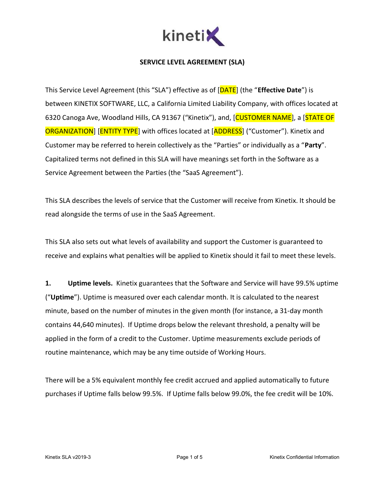

## SERVICE LEVEL AGREEMENT (SLA)

This Service Level Agreement (this "SLA") effective as of [DATE] (the "Effective Date") is between KINETIX SOFTWARE, LLC, a California Limited Liability Company, with offices located at 6320 Canoga Ave, Woodland Hills, CA 91367 ("Kinetix"), and, [CUSTOMER NAME], a [STATE OF **ORGANIZATION**] [ENTITY TYPE] with offices located at [ADDRESS] ("Customer"). Kinetix and Customer may be referred to herein collectively as the "Parties" or individually as a "Party". Capitalized terms not defined in this SLA will have meanings set forth in the Software as a Service Agreement between the Parties (the "SaaS Agreement").

This SLA describes the levels of service that the Customer will receive from Kinetix. It should be read alongside the terms of use in the SaaS Agreement.

This SLA also sets out what levels of availability and support the Customer is guaranteed to receive and explains what penalties will be applied to Kinetix should it fail to meet these levels.

1. **Uptime levels.** Kinetix guarantees that the Software and Service will have 99.5% uptime ("Uptime"). Uptime is measured over each calendar month. It is calculated to the nearest minute, based on the number of minutes in the given month (for instance, a 31-day month contains 44,640 minutes). If Uptime drops below the relevant threshold, a penalty will be applied in the form of a credit to the Customer. Uptime measurements exclude periods of routine maintenance, which may be any time outside of Working Hours.

There will be a 5% equivalent monthly fee credit accrued and applied automatically to future purchases if Uptime falls below 99.5%. If Uptime falls below 99.0%, the fee credit will be 10%.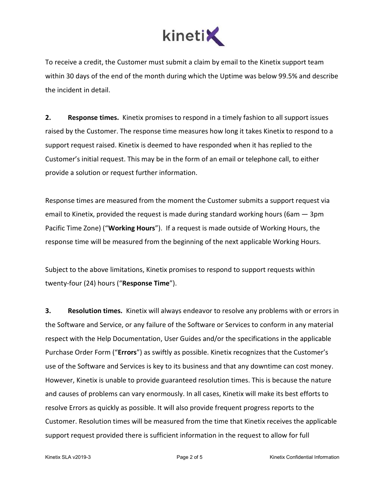

To receive a credit, the Customer must submit a claim by email to the Kinetix support team within 30 days of the end of the month during which the Uptime was below 99.5% and describe the incident in detail.

2. Response times. Kinetix promises to respond in a timely fashion to all support issues raised by the Customer. The response time measures how long it takes Kinetix to respond to a support request raised. Kinetix is deemed to have responded when it has replied to the Customer's initial request. This may be in the form of an email or telephone call, to either provide a solution or request further information.

Response times are measured from the moment the Customer submits a support request via email to Kinetix, provided the request is made during standard working hours (6am — 3pm Pacific Time Zone) ("Working Hours"). If a request is made outside of Working Hours, the response time will be measured from the beginning of the next applicable Working Hours.

Subject to the above limitations, Kinetix promises to respond to support requests within twenty-four (24) hours ("Response Time").

**3.** Resolution times. Kinetix will always endeavor to resolve any problems with or errors in the Software and Service, or any failure of the Software or Services to conform in any material respect with the Help Documentation, User Guides and/or the specifications in the applicable Purchase Order Form ("Errors") as swiftly as possible. Kinetix recognizes that the Customer's use of the Software and Services is key to its business and that any downtime can cost money. However, Kinetix is unable to provide guaranteed resolution times. This is because the nature and causes of problems can vary enormously. In all cases, Kinetix will make its best efforts to resolve Errors as quickly as possible. It will also provide frequent progress reports to the Customer. Resolution times will be measured from the time that Kinetix receives the applicable support request provided there is sufficient information in the request to allow for full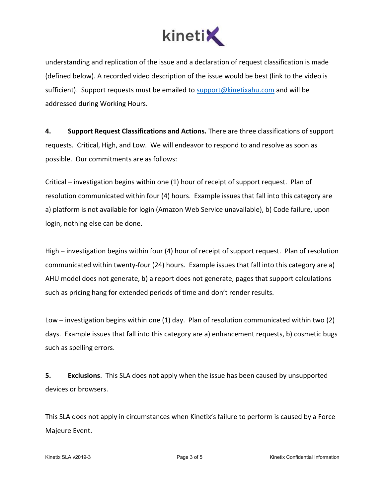

understanding and replication of the issue and a declaration of request classification is made (defined below). A recorded video description of the issue would be best (link to the video is sufficient). Support requests must be emailed to support@kinetixahu.com and will be addressed during Working Hours.

4. Support Request Classifications and Actions. There are three classifications of support requests. Critical, High, and Low. We will endeavor to respond to and resolve as soon as possible. Our commitments are as follows:

Critical – investigation begins within one (1) hour of receipt of support request. Plan of resolution communicated within four (4) hours. Example issues that fall into this category are a) platform is not available for login (Amazon Web Service unavailable), b) Code failure, upon login, nothing else can be done.

High – investigation begins within four (4) hour of receipt of support request. Plan of resolution communicated within twenty-four (24) hours. Example issues that fall into this category are a) AHU model does not generate, b) a report does not generate, pages that support calculations such as pricing hang for extended periods of time and don't render results.

Low – investigation begins within one (1) day. Plan of resolution communicated within two (2) days. Example issues that fall into this category are a) enhancement requests, b) cosmetic bugs such as spelling errors.

5. Exclusions. This SLA does not apply when the issue has been caused by unsupported devices or browsers.

This SLA does not apply in circumstances when Kinetix's failure to perform is caused by a Force Majeure Event.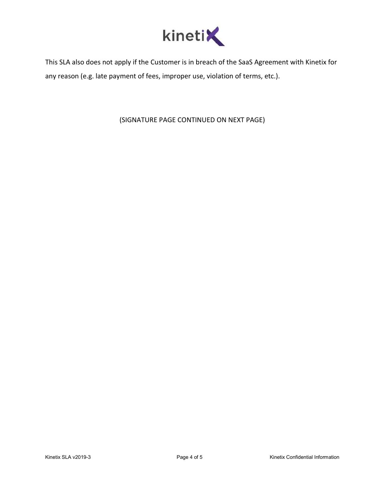

This SLA also does not apply if the Customer is in breach of the SaaS Agreement with Kinetix for any reason (e.g. late payment of fees, improper use, violation of terms, etc.).

(SIGNATURE PAGE CONTINUED ON NEXT PAGE)